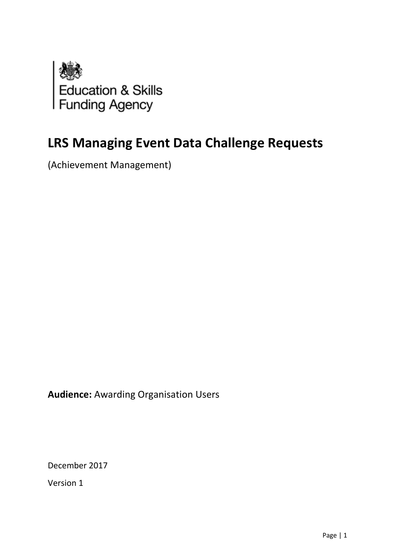

# **LRS Managing Event Data Challenge Requests**

(Achievement Management)

**Audience:** Awarding Organisation Users

December 2017

Version 1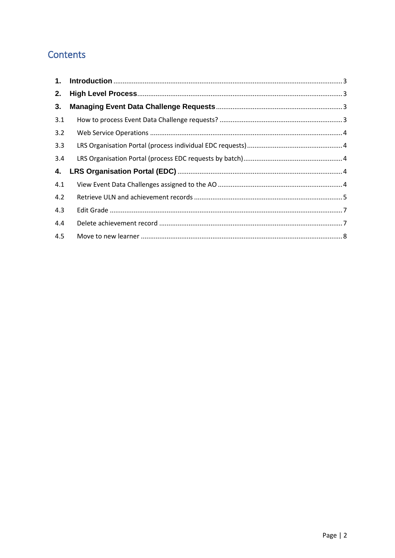# Contents

<span id="page-1-0"></span>

| 2.  |  |
|-----|--|
| 3.  |  |
| 3.1 |  |
| 3.2 |  |
| 3.3 |  |
| 3.4 |  |
| 4.  |  |
| 4.1 |  |
| 4.2 |  |
| 4.3 |  |
| 4.4 |  |
| 4.5 |  |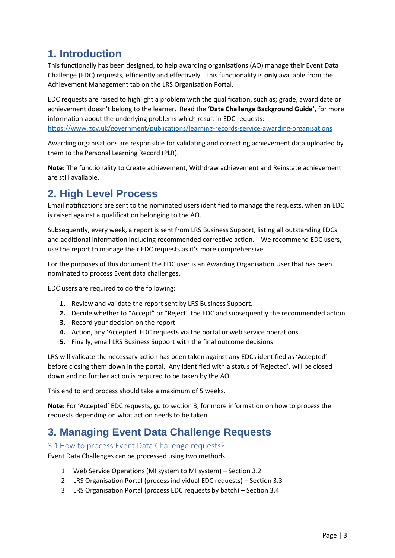# **1. Introduction**

This functionally has been designed, to help awarding organisations (AO) manage their Event Data Challenge (EDC) requests, efficiently and effectively. This functionality is **only** available from the Achievement Management tab on the LRS Organisation Portal.

EDC requests are raised to highlight a problem with the qualification, such as; grade, award date or achievement doesn't belong to the learner. Read the **'Data Challenge Background Guide'**, for more information about the underlying problems which result in EDC requests: <https://www.gov.uk/government/publications/learning-records-service-awarding-organisations>

Awarding organisations are responsible for validating and correcting achievement data uploaded by them to the Personal Learning Record (PLR).

**Note:** The functionality to Create achievement, Withdraw achievement and Reinstate achievement are still available.

# <span id="page-2-0"></span>**2. High Level Process**

Email notifications are sent to the nominated users identified to manage the requests, when an EDC is raised against a qualification belonging to the AO.

Subsequently, every week, a report is sent from LRS Business Support, listing all outstanding EDCs and additional information including recommended corrective action. We recommend EDC users, use the report to manage their EDC requests as it's more comprehensive.

For the purposes of this document the EDC user is an Awarding Organisation User that has been nominated to process Event data challenges.

EDC users are required to do the following:

- **1.** Review and validate the report sent by LRS Business Support.
- **2.** Decide whether to "Accept" or "Reject" the EDC and subsequently the recommended action.
- **3.** Record your decision on the report.
- **4.** Action, any 'Accepted' EDC requests via the portal or web service operations.
- **5.** Finally, email LRS Business Support with the final outcome decisions.

LRS will validate the necessary action has been taken against any EDCs identified as 'Accepted' before closing them down in the portal. Any identified with a status of 'Rejected', will be closed down and no further action is required to be taken by the AO.

This end to end process should take a maximum of 5 weeks.

**Note:** For 'Accepted' EDC requests, go to section 3, for more information on how to process the requests depending on what action needs to be taken.

# <span id="page-2-1"></span>**3. Managing Event Data Challenge Requests**

### <span id="page-2-2"></span>3.1How to process Event Data Challenge requests?

Event Data Challenges can be processed using two methods:

- 1. Web Service Operations (MI system to MI system) Section 3.2
- 2. LRS Organisation Portal (process individual EDC requests) Section 3.3
- 3. LRS Organisation Portal (process EDC requests by batch) Section 3.4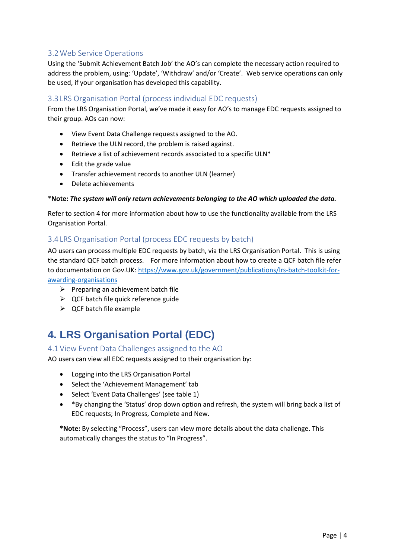## <span id="page-3-0"></span>3.2Web Service Operations

Using the 'Submit Achievement Batch Job' the AO's can complete the necessary action required to address the problem, using: 'Update', 'Withdraw' and/or 'Create'. Web service operations can only be used, if your organisation has developed this capability.

### <span id="page-3-1"></span>3.3 LRS Organisation Portal (process individual EDC requests)

From the LRS Organisation Portal, we've made it easy for AO's to manage EDC requests assigned to their group. AOs can now:

- View Event Data Challenge requests assigned to the AO.
- Retrieve the ULN record, the problem is raised against.
- Retrieve a list of achievement records associated to a specific ULN\*
- Edit the grade value
- Transfer achievement records to another ULN (learner)
- Delete achievements

#### \***Note:** *The system will only return achievements belonging to the AO which uploaded the data.*

Refer to section 4 for more information about how to use the functionality available from the LRS Organisation Portal.

### <span id="page-3-2"></span>3.4 LRS Organisation Portal (process EDC requests by batch)

AO users can process multiple EDC requests by batch, via the LRS Organisation Portal. This is using the standard QCF batch process. For more information about how to create a QCF batch file refer to documentation on Gov.UK: https://www.gov.uk/government/publications/Irs-batch-toolkit-for[awarding-organisations](https://www.gov.uk/government/publications/lrs-batch-toolkit-for-awarding-organisations)

- $\triangleright$  Preparing an achievement batch file
- $\triangleright$  QCF batch file quick reference guide
- $\triangleright$  QCF batch file example

# <span id="page-3-3"></span>**4. LRS Organisation Portal (EDC)**

### <span id="page-3-4"></span>4.1View Event Data Challenges assigned to the AO

AO users can view all EDC requests assigned to their organisation by:

- Logging into the LRS Organisation Portal
- Select the 'Achievement Management' tab
- Select 'Event Data Challenges' (see table 1)
- \*By changing the 'Status' drop down option and refresh, the system will bring back a list of EDC requests; In Progress, Complete and New.

**\*Note:** By selecting "Process", users can view more details about the data challenge. This automatically changes the status to "In Progress".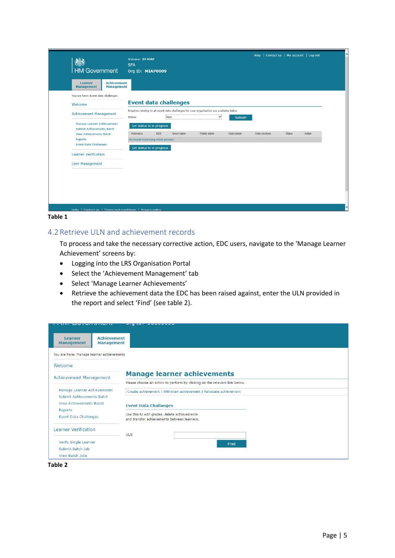| HM Government                                                                  | Welcome: 09 MIAP<br><b>SFA</b><br>Org ID: MIAP0009 |                                                                                                          |             | Help   Contact us   My account   Log out |               |        |
|--------------------------------------------------------------------------------|----------------------------------------------------|----------------------------------------------------------------------------------------------------------|-------------|------------------------------------------|---------------|--------|
| <b>Achievement</b><br><b>Learner</b><br><b>Management</b><br><b>Management</b> |                                                    |                                                                                                          |             |                                          |               |        |
| You are here: Event data challenges                                            |                                                    |                                                                                                          |             |                                          |               |        |
| Welcome                                                                        | <b>Event data challenges</b>                       |                                                                                                          |             |                                          |               |        |
| <b>Achievement Management</b>                                                  | New<br>Status                                      | Enquires relating to all event data challenges for your organisation are available below<br>$\checkmark$ | Refresh     |                                          |               |        |
| <b>Manage Learner Achievements</b><br><b>Submit Achievements Batch</b>         | Set status to in progress                          |                                                                                                          |             |                                          |               |        |
| <b>View Achievements Batch</b>                                                 | <b>ULN</b><br>Reference                            | Family name<br>Given name                                                                                | Date raised | Date resolved                            | <b>Status</b> | Action |
| Reports<br><b>Event Data Challenges</b>                                        | No records found using criteria provided           |                                                                                                          |             |                                          |               |        |
| <b>Learner Verification</b>                                                    | Set status to in progress                          |                                                                                                          |             |                                          |               |        |
| <b>User Management</b>                                                         |                                                    |                                                                                                          |             |                                          |               |        |
|                                                                                |                                                    |                                                                                                          |             |                                          |               |        |
|                                                                                |                                                    |                                                                                                          |             |                                          |               |        |
|                                                                                |                                                    |                                                                                                          |             |                                          |               |        |
|                                                                                |                                                    |                                                                                                          |             |                                          |               |        |
|                                                                                |                                                    |                                                                                                          |             |                                          |               |        |
| Help   Contact us   Terms and conditions   Privacy policy                      |                                                    |                                                                                                          |             |                                          |               |        |

#### **Table 1**

### <span id="page-4-0"></span>4.2Retrieve ULN and achievement records

To process and take the necessary corrective action, EDC users, navigate to the 'Manage Learner Achievement' screens by:

- Logging into the LRS Organisation Portal
- Select the 'Achievement Management' tab
- Select 'Manage Learner Achievements'
- Retrieve the achievement data the EDC has been raised against, enter the ULN provided in the report and select 'Find' (see table 2).

| <b>WARD IN THE WARD</b>                                     |                                         | <u>wing and construction</u>                                                                |                                                                            |  |
|-------------------------------------------------------------|-----------------------------------------|---------------------------------------------------------------------------------------------|----------------------------------------------------------------------------|--|
| <b>Learner</b><br><b>Management</b>                         | <b>Achievement</b><br><b>Management</b> |                                                                                             |                                                                            |  |
| You are here: Manage learner achievements                   |                                         |                                                                                             |                                                                            |  |
| Welcome                                                     |                                         |                                                                                             |                                                                            |  |
| Achievement Management                                      |                                         |                                                                                             | <b>Manage learner achievements</b>                                         |  |
|                                                             |                                         |                                                                                             | Please choose an action to perform by clicking on the relevant link below. |  |
| Manage Learner Achievements                                 |                                         | Create achievement   Withdraw achievement   Reinstate achievement                           |                                                                            |  |
| Submit Achievements Batch<br><b>View Achievements Batch</b> |                                         | <b>Event Data Challanges</b>                                                                |                                                                            |  |
| Reports<br>Event Data Challenges                            |                                         | Use this to edit grades, delete achievements<br>and transfer achievements between learners. |                                                                            |  |
| <b>Learner Verification</b>                                 |                                         | <b>ULN</b>                                                                                  |                                                                            |  |
| Verify Single Learner                                       |                                         |                                                                                             | Find                                                                       |  |
| Submit Batch Job                                            |                                         |                                                                                             |                                                                            |  |
| View Batch Jobs                                             |                                         |                                                                                             |                                                                            |  |

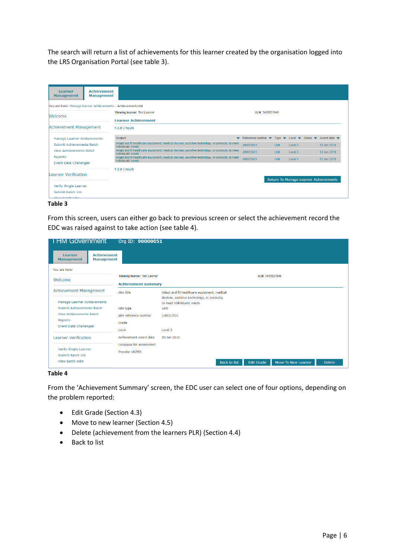The search will return a list of achievements for this learner created by the organisation logged into the LRS Organisation Portal (see table 3).

| <b>Achievement</b><br><b>Learner</b><br><b>Management</b><br><b>Management</b>                    |                                                                                                                       |                                                                   |      |         |                                                                                                                 |
|---------------------------------------------------------------------------------------------------|-----------------------------------------------------------------------------------------------------------------------|-------------------------------------------------------------------|------|---------|-----------------------------------------------------------------------------------------------------------------|
| You are here: Manage learner achievements > AchievementsList<br>Welcome                           | <b>Viewing learner: Test Learner</b><br><b>Learner Achievement</b>                                                    | ULN: 3415521949                                                   |      |         |                                                                                                                 |
| Achievement Management                                                                            | 1-3 of 3 results                                                                                                      |                                                                   |      |         |                                                                                                                 |
| Manage Learner Achievements                                                                       | Subject                                                                                                               | Reference number $\blacktriangledown$<br>$\overline{\phantom{a}}$ |      |         | Type $\blacktriangledown$ Level $\blacktriangledown$ Grade $\blacktriangledown$ Award date $\blacktriangledown$ |
| Submit Achievements Batch                                                                         | Adapt and fit healthcare equipment, medical devices, assistive technology, or products, to meet<br>individuals' needs | J/602/3521                                                        | Unit | Level 3 | 03 Jan 2010                                                                                                     |
| <b>View Achievements Batch</b>                                                                    | Adapt and fit healthcare equipment, medical devices, assistive technology, or products, to meet<br>individuals' needs | J/602/3521                                                        | Unit | Level 3 | 02 Jan 2010                                                                                                     |
| Reports                                                                                           | Adapt and fit healthcare equipment, medical devices, assistive technology, or products, to meet<br>individuals' needs | J/602/3521                                                        | Unit | Level 3 | 01 Jan 2010                                                                                                     |
| <b>Event Data Challenges</b><br>Learner Verification<br>Verify Single Learner<br>Submit Batch Job | 1-3 of 3 results                                                                                                      |                                                                   |      |         | Return To Manage Learner Achievements                                                                           |

#### **Table 3**

From this screen, users can either go back to previous screen or select the achievement record the EDC was raised against to take action (see table 4).

| <b>I HM Government</b>                  |                                         | Org ID: 90000051              |                                                                                            |
|-----------------------------------------|-----------------------------------------|-------------------------------|--------------------------------------------------------------------------------------------|
| Learner<br><b>Management</b>            | <b>Achievement</b><br><b>Management</b> |                               |                                                                                            |
| You are here:                           |                                         |                               |                                                                                            |
| Welcome                                 |                                         | Viewing learner: Test Learner | ULN: 3415521949                                                                            |
|                                         |                                         | <b>Achievement summary</b>    |                                                                                            |
| <b>Achievement Management</b>           |                                         | Aim title                     | Adapt and fit healthcare equipment, medical<br>devices, assistive technology, or products, |
| Manage Learner Achievements             |                                         |                               | to meet individuals' needs.                                                                |
| <b>Submit Achievements Batch</b>        |                                         | Aim type                      | Unit                                                                                       |
| <b>View Achievements Batch</b>          |                                         | Aim reference number          | J/602/3521                                                                                 |
| Reports<br><b>Event Data Challenges</b> |                                         | Grade                         |                                                                                            |
|                                         |                                         | Level                         | Level 3                                                                                    |
| <b>Learner Verification</b>             |                                         | Achievement award date        | 03 Jan 2010                                                                                |
| Verify Single Learner                   |                                         | Language for assessment       |                                                                                            |
|                                         |                                         | <b>Provider UKPRN</b>         |                                                                                            |
| Submit Batch Job<br>View Batch Jobs     |                                         |                               | Move To New Learner<br><b>Back to list</b><br><b>Edit Grade</b><br><b>Delete</b>           |

#### **Table 4**

From the 'Achievement Summary' screen, the EDC user can select one of four options, depending on the problem reported:

- Edit Grade (Section 4.3)
- Move to new learner (Section 4.5)
- Delete (achievement from the learners PLR) (Section 4.4)
- Back to list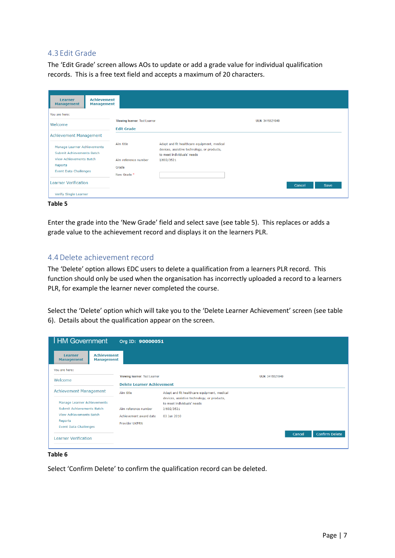### <span id="page-6-0"></span>4.3 Edit Grade

The 'Edit Grade' screen allows AOs to update or add a grade value for individual qualification records. This is a free text field and accepts a maximum of 20 characters.

| <b>Learner</b><br><b>Management</b>                                | <b>Achievement</b><br><b>Management</b> |                                                    |                                                                                            |                 |                |
|--------------------------------------------------------------------|-----------------------------------------|----------------------------------------------------|--------------------------------------------------------------------------------------------|-----------------|----------------|
| You are here:                                                      |                                         |                                                    |                                                                                            |                 |                |
| Welcome                                                            |                                         | Viewing learner: Test Learner<br><b>Edit Grade</b> |                                                                                            | ULN: 3415521949 |                |
| <b>Achievement Management</b>                                      |                                         |                                                    |                                                                                            |                 |                |
| Manage Learner Achievements                                        |                                         | Aim title                                          | Adapt and fit healthcare equipment, medical<br>devices, assistive technology, or products, |                 |                |
| <b>Submit Achievements Batch</b><br><b>View Achievements Batch</b> |                                         | Aim reference number                               | to meet individuals' needs<br>J/602/3521                                                   |                 |                |
| Reports<br><b>Event Data Challenges</b>                            |                                         | Grade<br>New Grade *                               |                                                                                            |                 |                |
| <b>Learner Verification</b>                                        |                                         |                                                    |                                                                                            |                 | Cancel<br>Save |
| Verify Single Learner                                              |                                         |                                                    |                                                                                            |                 |                |

**Table 5**

Enter the grade into the 'New Grade' field and select save (see table 5). This replaces or adds a grade value to the achievement record and displays it on the learners PLR.

### <span id="page-6-1"></span>4.4Delete achievement record

The 'Delete' option allows EDC users to delete a qualification from a learners PLR record. This function should only be used when the organisation has incorrectly uploaded a record to a learners PLR, for example the learner never completed the course.

Select the 'Delete' option which will take you to the 'Delete Learner Achievement' screen (see table 6). Details about the qualification appear on the screen.

| <b>HM Government</b>                                     |                                         | Org ID: 90000051                  |                                             |                 |                                 |
|----------------------------------------------------------|-----------------------------------------|-----------------------------------|---------------------------------------------|-----------------|---------------------------------|
| <b>Learner</b><br><b>Management</b>                      | <b>Achievement</b><br><b>Management</b> |                                   |                                             |                 |                                 |
| You are here:                                            |                                         |                                   |                                             |                 |                                 |
| Welcome                                                  |                                         | Viewing learner: Test Learner     |                                             | ULN: 3415521949 |                                 |
|                                                          |                                         | <b>Delete Learner Achievement</b> |                                             |                 |                                 |
| <b>Achievement Management</b>                            |                                         | Aim title                         | Adapt and fit healthcare equipment, medical |                 |                                 |
|                                                          |                                         |                                   | devices, assistive technology, or products, |                 |                                 |
| Manage Learner Achievements<br>Submit Achievements Batch |                                         | Aim reference number              | to meet individuals' needs                  |                 |                                 |
| <b>View Achievements Batch</b>                           |                                         |                                   | J/602/3521                                  |                 |                                 |
| Reports                                                  |                                         | Achievement award date            | 03 Jan 2010                                 |                 |                                 |
| <b>Event Data Challenges</b>                             |                                         | <b>Provider UKPRN</b>             |                                             |                 |                                 |
| <b>Learner Verification</b>                              |                                         |                                   |                                             |                 | <b>Confirm Delete</b><br>Cancel |

#### **Table 6**

Select 'Confirm Delete' to confirm the qualification record can be deleted.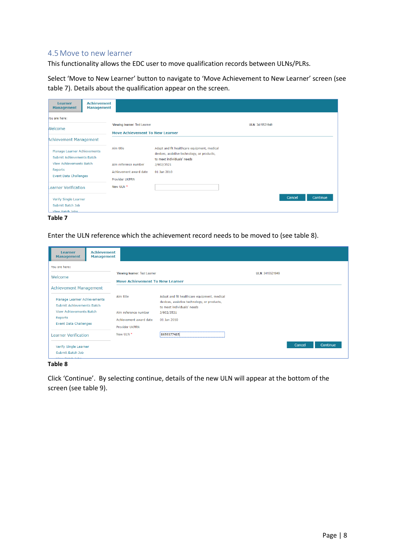### <span id="page-7-0"></span>4.5Move to new learner

This functionality allows the EDC user to move qualification records between ULNs/PLRs.

Select 'Move to New Learner' button to navigate to 'Move Achievement to New Learner' screen (see table 7). Details about the qualification appear on the screen.

| Learner<br><b>Management</b>                                 | <b>Achievement</b><br><b>Management</b> |                                                 |                                                                                                                          |                 |                    |  |
|--------------------------------------------------------------|-----------------------------------------|-------------------------------------------------|--------------------------------------------------------------------------------------------------------------------------|-----------------|--------------------|--|
| You are here:                                                |                                         | Viewing learner: Test Learner                   |                                                                                                                          | ULN: 3415521949 |                    |  |
| Welcome                                                      |                                         | <b>Move Achievement To New Learner</b>          |                                                                                                                          |                 |                    |  |
| <b>Achievement Management</b>                                |                                         |                                                 |                                                                                                                          |                 |                    |  |
| Manage Learner Achievements<br>Submit Achievements Batch     |                                         | Aim title                                       | Adapt and fit healthcare equipment, medical<br>devices, assistive technology, or products,<br>to meet individuals' needs |                 |                    |  |
| <b>View Achievements Batch</b>                               |                                         | Aim reference number                            | J/602/3521                                                                                                               |                 |                    |  |
| Reports<br><b>Event Data Challenges</b>                      |                                         | Achievement award date<br><b>Provider UKPRN</b> | 01 Jan 2010                                                                                                              |                 |                    |  |
| Learner Verification                                         |                                         | New ULN *                                       |                                                                                                                          |                 |                    |  |
| Verify Single Learner<br>Submit Batch Job<br>View Ratch Johs |                                         |                                                 |                                                                                                                          |                 | Continue<br>Cancel |  |

**Table 7**

Enter the ULN reference which the achievement record needs to be moved to (see table 8).

| <b>Achievement</b><br>Learner<br><b>Management</b><br><b>Management</b> |                                                                         |                                                                                                                          |                 |                    |
|-------------------------------------------------------------------------|-------------------------------------------------------------------------|--------------------------------------------------------------------------------------------------------------------------|-----------------|--------------------|
| You are here:                                                           |                                                                         |                                                                                                                          |                 |                    |
| Welcome                                                                 | Viewing learner: Test Learner<br><b>Move Achievement To New Learner</b> |                                                                                                                          | ULN: 3415521949 |                    |
| <b>Achievement Management</b>                                           |                                                                         |                                                                                                                          |                 |                    |
| Manage Learner Achievements<br>Submit Achievements Batch                | Aim title                                                               | Adapt and fit healthcare equipment, medical<br>devices, assistive technology, or products,<br>to meet individuals' needs |                 |                    |
| <b>View Achievements Batch</b>                                          | Aim reference number                                                    | J/602/3521                                                                                                               |                 |                    |
| Reports<br><b>Event Data Challenges</b>                                 | Achievement award date<br><b>Provider UKPRN</b>                         | 01 Jan 2010                                                                                                              |                 |                    |
| <b>Learner Verification</b>                                             | New ULN *                                                               | 8659377485                                                                                                               |                 |                    |
| Verify Single Learner<br>Submit Batch Job                               |                                                                         |                                                                                                                          |                 | Continue<br>Cancel |
| <b><i>Change County of the American</i></b>                             |                                                                         |                                                                                                                          |                 |                    |

**Table 8**

Click 'Continue'. By selecting continue, details of the new ULN will appear at the bottom of the screen (see table 9).